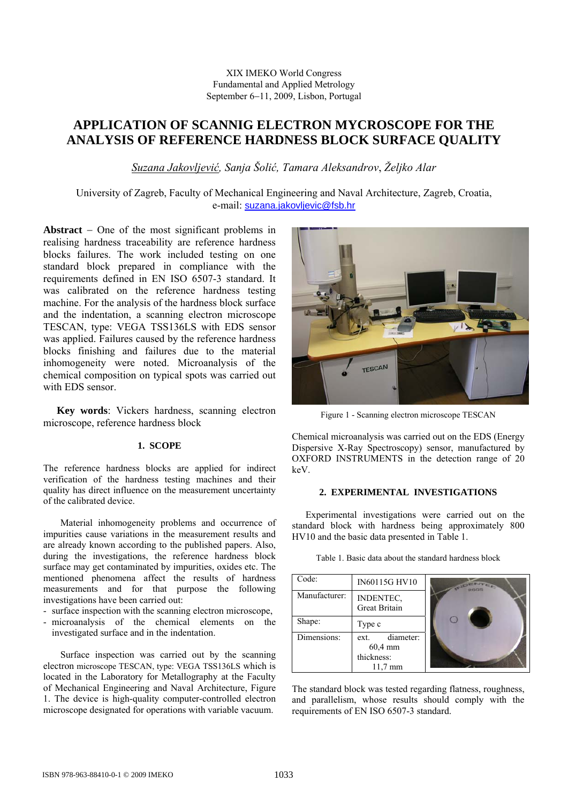# XIX IMEKO World Congress Fundamental and Applied Metrology September 6−11, 2009, Lisbon, Portugal

# **APPLICATION OF SCANNIG ELECTRON MYCROSCOPE FOR THE ANALYSIS OF REFERENCE HARDNESS BLOCK SURFACE QUALITY**

*Suzana Jakovljević, Sanja Šolić, Tamara Aleksandrov*, *Željko Alar* 

University of Zagreb, Faculty of Mechanical Engineering and Naval Architecture, Zagreb, Croatia, e-mail: suzana.jakovljevic@fsb.hr

**Abstract** − One of the most significant problems in realising hardness traceability are reference hardness blocks failures. The work included testing on one standard block prepared in compliance with the requirements defined in EN ISO 6507-3 standard. It was calibrated on the reference hardness testing machine. For the analysis of the hardness block surface and the indentation, a scanning electron microscope TESCAN, type: VEGA TSS136LS with EDS sensor was applied. Failures caused by the reference hardness blocks finishing and failures due to the material inhomogeneity were noted. Microanalysis of the chemical composition on typical spots was carried out with EDS sensor.

**Key words**: Vickers hardness, scanning electron microscope, reference hardness block

# **1. SCOPE**

The reference hardness blocks are applied for indirect verification of the hardness testing machines and their quality has direct influence on the measurement uncertainty of the calibrated device.

Material inhomogeneity problems and occurrence of impurities cause variations in the measurement results and are already known according to the published papers. Also, during the investigations, the reference hardness block surface may get contaminated by impurities, oxides etc. The mentioned phenomena affect the results of hardness measurements and for that purpose the following investigations have been carried out:

- surface inspection with the scanning electron microscope,
- microanalysis of the chemical elements on the investigated surface and in the indentation.

Surface inspection was carried out by the scanning electron microscope TESCAN, type: VEGA TSS136LS which is located in the Laboratory for Metallography at the Faculty of Mechanical Engineering and Naval Architecture, Figure 1. The device is high-quality computer-controlled electron microscope designated for operations with variable vacuum.



Figure 1 - Scanning electron microscope TESCAN

Chemical microanalysis was carried out on the EDS (Energy Dispersive X-Ray Spectroscopy) sensor, manufactured by OXFORD INSTRUMENTS in the detection range of 20 keV.

#### **2. EXPERIMENTAL INVESTIGATIONS**

Experimental investigations were carried out on the standard block with hardness being approximately 800 HV10 and the basic data presented in Table 1.

Table 1. Basic data about the standard hardness block

| Code:         | IN60115G HV10                                                   |  |
|---------------|-----------------------------------------------------------------|--|
| Manufacturer: | INDENTEC,<br>Great Britain                                      |  |
| Shape:        | Type c                                                          |  |
| Dimensions:   | diameter:<br>ext.<br>60,4 mm<br>thickness:<br>$11.7 \text{ mm}$ |  |

The standard block was tested regarding flatness, roughness, and parallelism, whose results should comply with the requirements of EN ISO 6507-3 standard.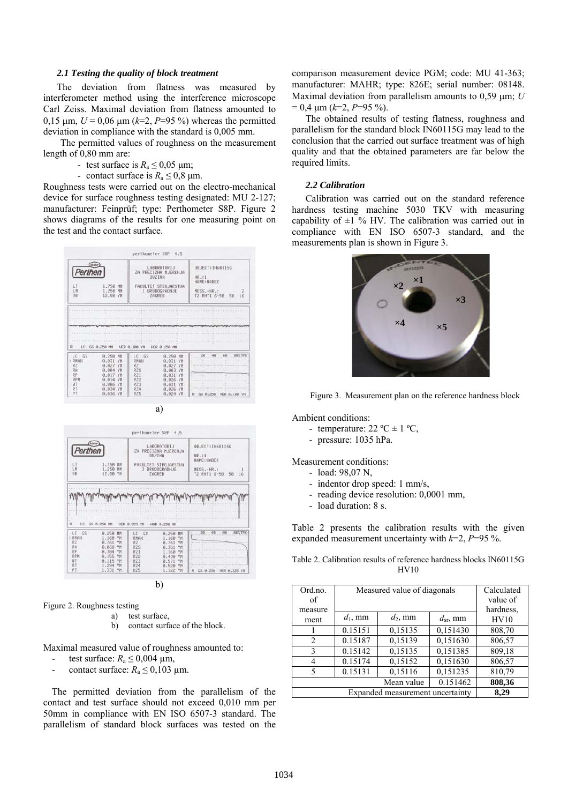#### *2.1 Testing the quality of block treatment*

The deviation from flatness was measured by interferometer method using the interference microscope Carl Zeiss. Maximal deviation from flatness amounted to 0,15 μm,  $U = 0.06$  μm ( $k=2$ ,  $P=95$ %) whereas the permitted deviation in compliance with the standard is 0,005 mm.

The permitted values of roughness on the measurement length of 0,80 mm are:

- test surface is  $R_a \le 0.05$  µm;
- contact surface is  $R_a \le 0.8$  µm.

Roughness tests were carried out on the electro-mechanical device for surface roughness testing designated: MU 2-127; manufacturer: Feinprüf; type: Perthometer S8P. Figure 2 shows diagrams of the results for one measuring point on the test and the contact surface.





b)

Figure 2. Roughness testing

- a) test surface,
	- b) contact surface of the block.

Maximal measured value of roughness amounted to:

- test surface:  $R_a \le 0.004$  µm,
- contact surface:  $R_a \le 0.103$  µm.

The permitted deviation from the parallelism of the contact and test surface should not exceed 0,010 mm per 50mm in compliance with EN ISO 6507-3 standard. The parallelism of standard block surfaces was tested on the comparison measurement device PGM; code: MU 41-363; manufacturer: MAHR; type: 826E; serial number: 08148. Maximal deviation from parallelism amounts to 0,59 μm; *U*  $= 0.4 \text{ }\mu\text{m}$  ( $k=2, P=95 \%$ ).

The obtained results of testing flatness, roughness and parallelism for the standard block IN60115G may lead to the conclusion that the carried out surface treatment was of high quality and that the obtained parameters are far below the required limits.

# *2.2 Calibration*

Calibration was carried out on the standard reference hardness testing machine 5030 TKV with measuring capability of  $\pm 1$  % HV. The calibration was carried out in compliance with EN ISO 6507-3 standard, and the measurements plan is shown in Figure 3.



Figure 3. Measurement plan on the reference hardness block

Ambient conditions:

- temperature:  $22 \text{ °C} \pm 1 \text{ °C}$ .
- pressure: 1035 hPa.

Measurement conditions:

- load: 98,07 N,
- indentor drop speed: 1 mm/s,
- reading device resolution: 0,0001 mm,
- load duration: 8 s.

Table 2 presents the calibration results with the given expanded measurement uncertainty with *k*=2, *P*=95 %.

|  | Table 2. Calibration results of reference hardness blocks IN60115G |  |  |
|--|--------------------------------------------------------------------|--|--|
|  | HV10                                                               |  |  |

| Ord.no.<br>of<br>measure | Measured value of diagonals | Calculated<br>value of<br>hardness. |               |        |
|--------------------------|-----------------------------|-------------------------------------|---------------|--------|
| ment                     | $d_1$ , mm                  | $d_2$ , mm                          | $d_{sr}$ , mm | HV10   |
|                          | 0.15151                     | 0,15135                             | 0,151430      | 808,70 |
| 2                        | 0.15187                     | 0,15139                             | 0,151630      | 806,57 |
| 3                        | 0.15142                     | 0,15135                             | 0,151385      | 809,18 |
| 4                        | 0.15174                     | 0,15152                             | 0,151630      | 806,57 |
| 5                        | 0.15131                     | 0,15116                             | 0,151235      | 810,79 |
|                          |                             | Mean value                          | 0.151462      | 808,36 |
|                          | 8.29                        |                                     |               |        |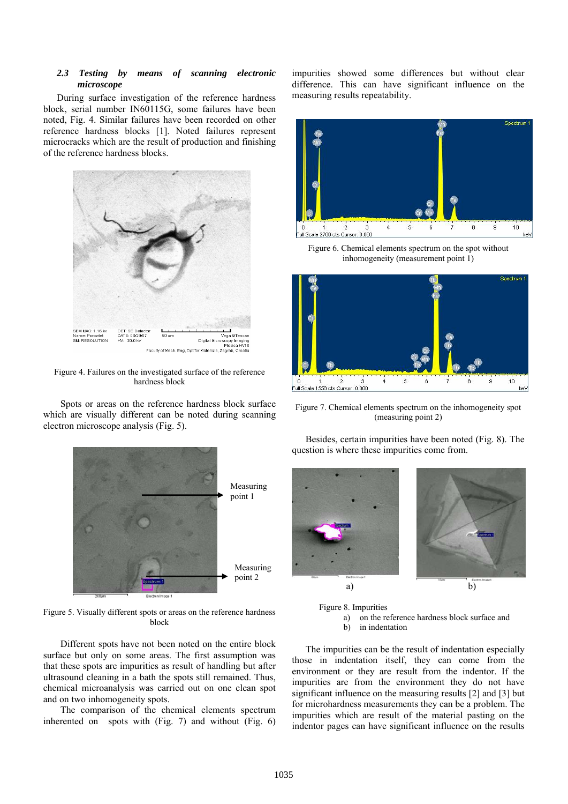#### *2.3 Testing by means of scanning electronic microscope*

During surface investigation of the reference hardness block, serial number IN60115G, some failures have been noted, Fig. 4. Similar failures have been recorded on other reference hardness blocks [1]. Noted failures represent microcracks which are the result of production and finishing of the reference hardness blocks.



Figure 4. Failures on the investigated surface of the reference hardness block

Spots or areas on the reference hardness block surface which are visually different can be noted during scanning electron microscope analysis (Fig. 5).



Figure 5. Visually different spots or areas on the reference hardness block

Different spots have not been noted on the entire block surface but only on some areas. The first assumption was that these spots are impurities as result of handling but after ultrasound cleaning in a bath the spots still remained. Thus, chemical microanalysis was carried out on one clean spot and on two inhomogeneity spots.

The comparison of the chemical elements spectrum inherented on spots with (Fig. 7) and without (Fig. 6) impurities showed some differences but without clear difference. This can have significant influence on the measuring results repeatability.



Figure 6. Chemical elements spectrum on the spot without inhomogeneity (measurement point 1)



Figure 7. Chemical elements spectrum on the inhomogeneity spot (measuring point 2)

Besides, certain impurities have been noted (Fig. 8). The question is where these impurities come from.





The impurities can be the result of indentation especially those in indentation itself, they can come from the environment or they are result from the indentor. If the impurities are from the environment they do not have significant influence on the measuring results [2] and [3] but for microhardness measurements they can be a problem. The impurities which are result of the material pasting on the indentor pages can have significant influence on the results